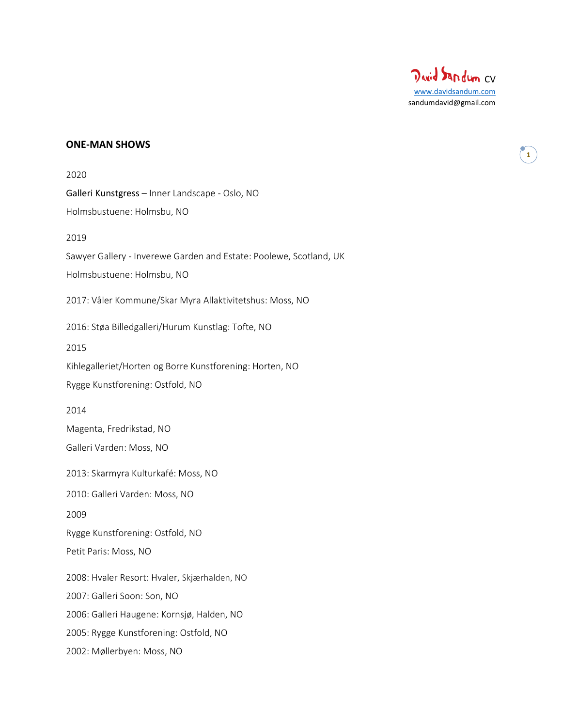

# **ONE-MAN SHOWS**

| 2020                                                               |
|--------------------------------------------------------------------|
| Galleri Kunstgress - Inner Landscape - Oslo, NO                    |
| Holmsbustuene: Holmsbu, NO                                         |
| 2019                                                               |
| Sawyer Gallery - Inverewe Garden and Estate: Poolewe, Scotland, UK |
| Holmsbustuene: Holmsbu, NO                                         |
| 2017: Våler Kommune/Skar Myra Allaktivitetshus: Moss, NO           |
| 2016: Støa Billedgalleri/Hurum Kunstlag: Tofte, NO                 |
| 2015                                                               |
| Kihlegalleriet/Horten og Borre Kunstforening: Horten, NO           |
| Rygge Kunstforening: Ostfold, NO                                   |
| 2014                                                               |
| Magenta, Fredrikstad, NO                                           |
| Galleri Varden: Moss, NO                                           |
| 2013: Skarmyra Kulturkafé: Moss, NO                                |
| 2010: Galleri Varden: Moss, NO                                     |
| 2009                                                               |
| Rygge Kunstforening: Ostfold, NO                                   |
| Petit Paris: Moss, NO                                              |
| 2008: Hvaler Resort: Hvaler, Skjærhalden, NO                       |
| 2007: Galleri Soon: Son, NO                                        |
| 2006: Galleri Haugene: Kornsjø, Halden, NO                         |
| 2005: Rygge Kunstforening: Ostfold, NO                             |
| 2002: Møllerbyen: Moss, NO                                         |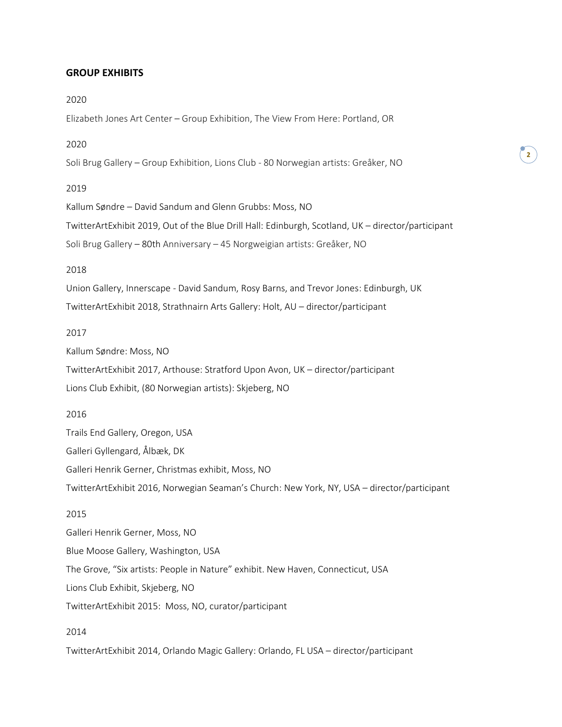#### **GROUP EXHIBITS**

#### 2020

Elizabeth Jones Art Center – Group Exhibition, The View From Here: Portland, OR

## 2020

Soli Brug Gallery – Group Exhibition, Lions Club - 80 Norwegian artists: Greåker, NO

#### 2019

Kallum Søndre – David Sandum and Glenn Grubbs: Moss, NO TwitterArtExhibit 2019, Out of the Blue Drill Hall: Edinburgh, Scotland, UK – director/participant Soli Brug Gallery – 80th Anniversary – 45 Norgweigian artists: Greåker, NO

**2**

#### 2018

Union Gallery, Innerscape - David Sandum, Rosy Barns, and Trevor Jones: Edinburgh, UK TwitterArtExhibit 2018, Strathnairn Arts Gallery: Holt, AU – director/participant

#### 2017

Kallum Søndre: Moss, NO

TwitterArtExhibit 2017, Arthouse: Stratford Upon Avon, UK – director/participant Lions Club Exhibit, (80 Norwegian artists): Skjeberg, NO

## 2016

Trails End Gallery, Oregon, USA Galleri Gyllengard, Ålbæk, DK Galleri Henrik Gerner, Christmas exhibit, Moss, NO TwitterArtExhibit 2016, Norwegian Seaman's Church: New York, NY, USA – director/participant 2015 Galleri Henrik Gerner, Moss, NO Blue Moose Gallery, Washington, USA The Grove, "Six artists: People in Nature" exhibit. New Haven, Connecticut, USA

Lions Club Exhibit, Skjeberg, NO

TwitterArtExhibit 2015: Moss, NO, curator/participant

## 2014

TwitterArtExhibit 2014, Orlando Magic Gallery: Orlando, FL USA – director/participant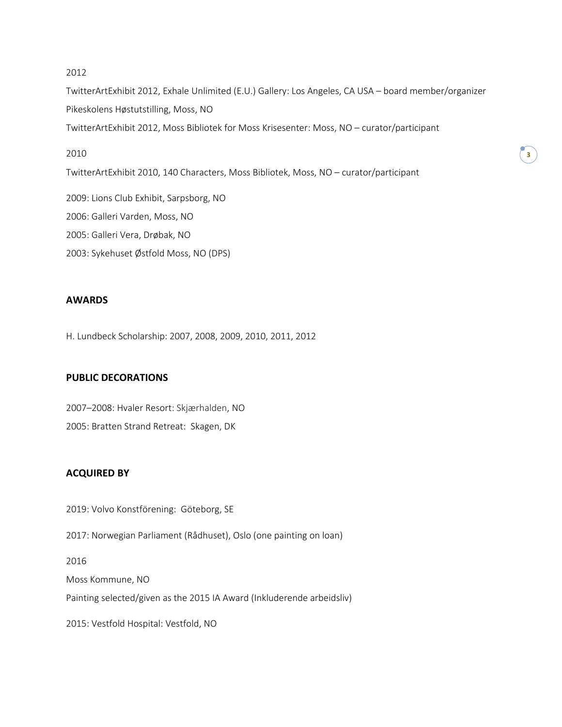#### 2012

TwitterArtExhibit 2012, Exhale Unlimited (E.U.) Gallery: Los Angeles, CA USA – board member/organizer Pikeskolens Høstutstilling, Moss, NO TwitterArtExhibit 2012, Moss Bibliotek for Moss Krisesenter: Moss, NO – curator/participant

## 2010

TwitterArtExhibit 2010, 140 Characters, Moss Bibliotek, Moss, NO – curator/participant

2009: Lions Club Exhibit, Sarpsborg, NO

2006: Galleri Varden, Moss, NO

2005: Galleri Vera, Drøbak, NO

2003: Sykehuset Østfold Moss, NO (DPS)

# **AWARDS**

H. Lundbeck Scholarship: 2007, 2008, 2009, 2010, 2011, 2012

## **PUBLIC DECORATIONS**

2007–2008: Hvaler Resort: Skjærhalden, NO 2005: Bratten Strand Retreat: Skagen, DK

# **ACQUIRED BY**

2019: Volvo Konstförening: Göteborg, SE

2017: Norwegian Parliament (Rådhuset), Oslo (one painting on loan)

2016

Moss Kommune, NO

Painting selected/given as the 2015 IA Award (Inkluderende arbeidsliv)

2015: Vestfold Hospital: Vestfold, NO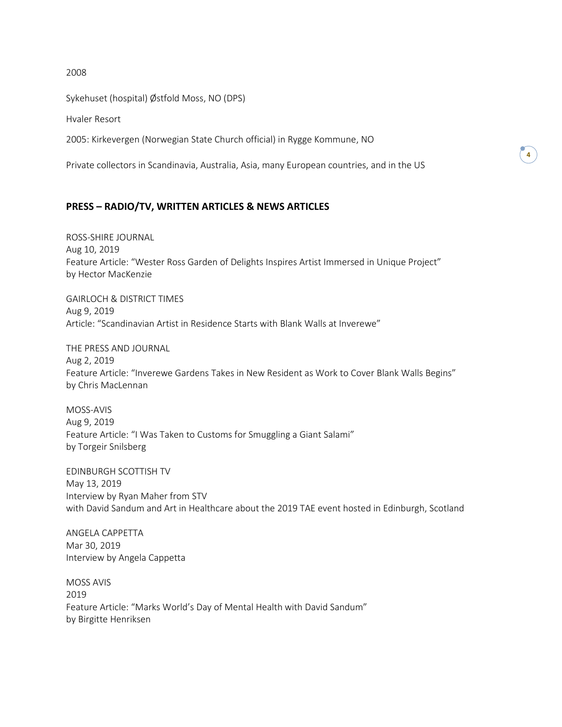2008

Sykehuset (hospital) Østfold Moss, NO (DPS)

Hvaler Resort

2005: Kirkevergen (Norwegian State Church official) in Rygge Kommune, NO

Private collectors in Scandinavia, Australia, Asia, many European countries, and in the US

## **PRESS – RADIO/TV, WRITTEN ARTICLES & NEWS ARTICLES**

ROSS-SHIRE JOURNAL Aug 10, 2019 Feature Article: "Wester Ross Garden of Delights Inspires Artist Immersed in Unique Project" by Hector MacKenzie

GAIRLOCH & DISTRICT TIMES Aug 9, 2019 Article: "Scandinavian Artist in Residence Starts with Blank Walls at Inverewe"

THE PRESS AND JOURNAL Aug 2, 2019 Feature Article: "Inverewe Gardens Takes in New Resident as Work to Cover Blank Walls Begins" by Chris MacLennan

MOSS-AVIS Aug 9, 2019 Feature Article: "I Was Taken to Customs for Smuggling a Giant Salami" by Torgeir Snilsberg

EDINBURGH SCOTTISH TV May 13, 2019 Interview by Ryan Maher from STV with David Sandum and Art in Healthcare about the 2019 TAE event hosted in Edinburgh, Scotland

ANGELA CAPPETTA Mar 30, 2019 Interview by Angela Cappetta

MOSS AVIS 2019 Feature Article: "Marks World's Day of Mental Health with David Sandum" by Birgitte Henriksen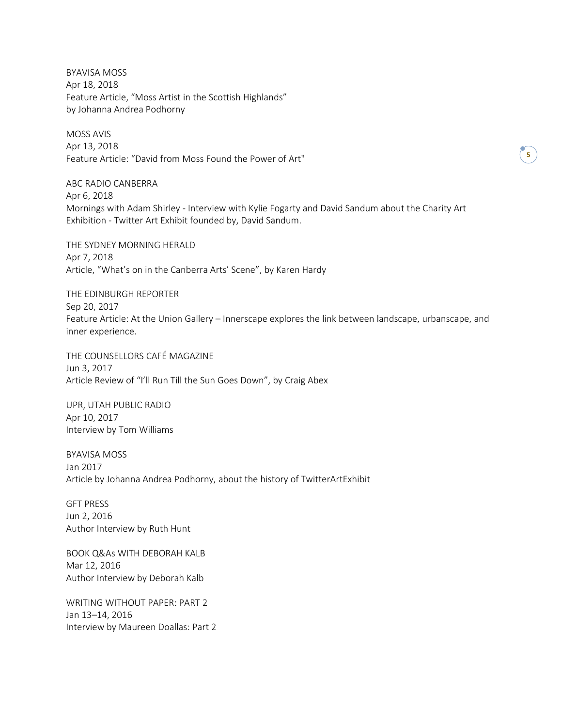BYAVISA MOSS Apr 18, 2018 Feature Article, "Moss Artist in the Scottish Highlands" by Johanna Andrea Podhorny

MOSS AVIS Apr 13, 2018 Feature Article: "David from Moss Found the Power of Art"

ABC RADIO CANBERRA Apr 6, 2018 Mornings with Adam Shirley - Interview with Kylie Fogarty and David Sandum about the Charity Art Exhibition - Twitter Art Exhibit founded by, David Sandum.

THE SYDNEY MORNING HERALD Apr 7, 2018 Article, "What's on in the Canberra Arts' Scene", by Karen Hardy

THE EDINBURGH REPORTER Sep 20, 2017 Feature Article: At the Union Gallery – Innerscape explores the link between landscape, urbanscape, and inner experience.

THE COUNSELLORS CAFÉ MAGAZINE Jun 3, 2017 Article Review of "I'll Run Till the Sun Goes Down", by Craig Abex

UPR, UTAH PUBLIC RADIO Apr 10, 2017 Interview by Tom Williams

BYAVISA MOSS Jan 2017 Article by Johanna Andrea Podhorny, about the history of TwitterArtExhibit

GFT PRESS Jun 2, 2016 Author Interview by Ruth Hunt

BOOK Q&As WITH DEBORAH KALB Mar 12, 2016 Author Interview by Deborah Kalb

WRITING WITHOUT PAPER: PART 2 Jan 13–14, 2016 Interview by Maureen Doallas: Part 2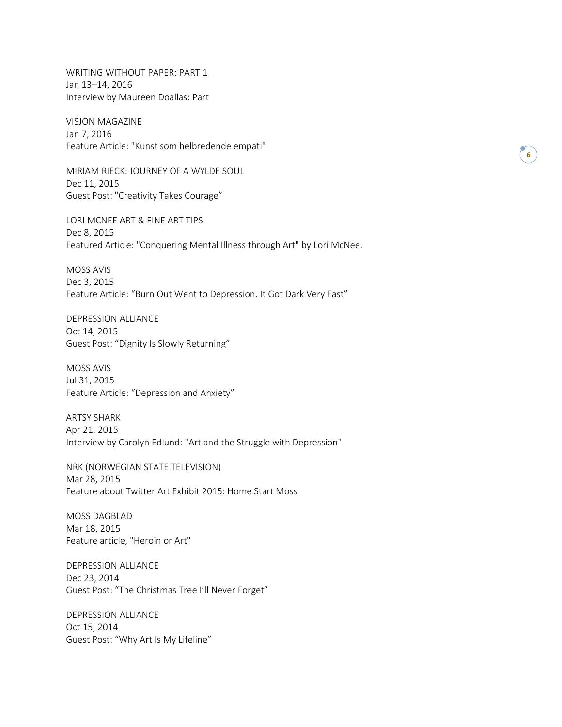WRITING WITHOUT PAPER: PART 1 Jan 13–14, 2016 Interview by Maureen Doallas: Part

VISJON MAGAZINE Jan 7, 2016 Feature Article: "Kunst som helbredende empati"

MIRIAM RIECK: JOURNEY OF A WYLDE SOUL Dec 11, 2015 Guest Post: "Creativity Takes Courage"

LORI MCNEE ART & FINE ART TIPS Dec 8, 2015 Featured Article: "Conquering Mental Illness through Art" by Lori McNee.

MOSS AVIS Dec 3, 2015 Feature Article: "Burn Out Went to Depression. It Got Dark Very Fast"

DEPRESSION ALLIANCE Oct 14, 2015 Guest Post: "Dignity Is Slowly Returning"

MOSS AVIS Jul 31, 2015 Feature Article: "Depression and Anxiety"

ARTSY SHARK Apr 21, 2015 Interview by Carolyn Edlund: "Art and the Struggle with Depression"

NRK (NORWEGIAN STATE TELEVISION) Mar 28, 2015 Feature about Twitter Art Exhibit 2015: Home Start Moss

MOSS DAGBLAD Mar 18, 2015 Feature article, "Heroin or Art"

DEPRESSION ALLIANCE Dec 23, 2014 Guest Post: "The Christmas Tree I'll Never Forget"

DEPRESSION ALLIANCE Oct 15, 2014 Guest Post: "Why Art Is My Lifeline"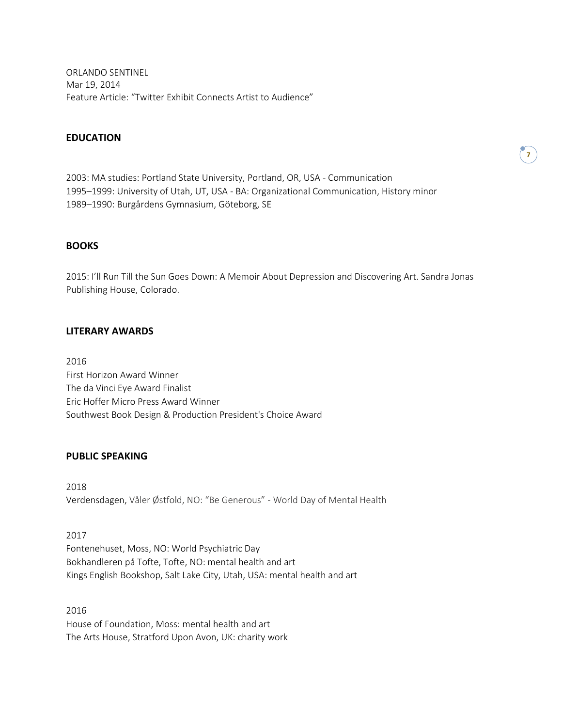ORLANDO SENTINEL Mar 19, 2014 Feature Article: "Twitter Exhibit Connects Artist to Audience"

#### **EDUCATION**

2003: MA studies: Portland State University, Portland, OR, USA - Communication 1995–1999: University of Utah, UT, USA - BA: Organizational Communication, History minor 1989–1990: Burgårdens Gymnasium, Göteborg, SE

#### **BOOKS**

2015: I'll Run Till the Sun Goes Down: A Memoir About Depression and Discovering Art. Sandra Jonas Publishing House, Colorado.

#### **LITERARY AWARDS**

2016 First Horizon Award Winner The da Vinci Eye Award Finalist Eric Hoffer Micro Press Award Winner Southwest Book Design & Production President's Choice Award

### **PUBLIC SPEAKING**

2018 Verdensdagen, Våler Østfold, NO: "Be Generous" - World Day of Mental Health

2017 Fontenehuset, Moss, NO: World Psychiatric Day Bokhandleren på Tofte, Tofte, NO: mental health and art Kings English Bookshop, Salt Lake City, Utah, USA: mental health and art

2016 House of Foundation, Moss: mental health and art The Arts House, Stratford Upon Avon, UK: charity work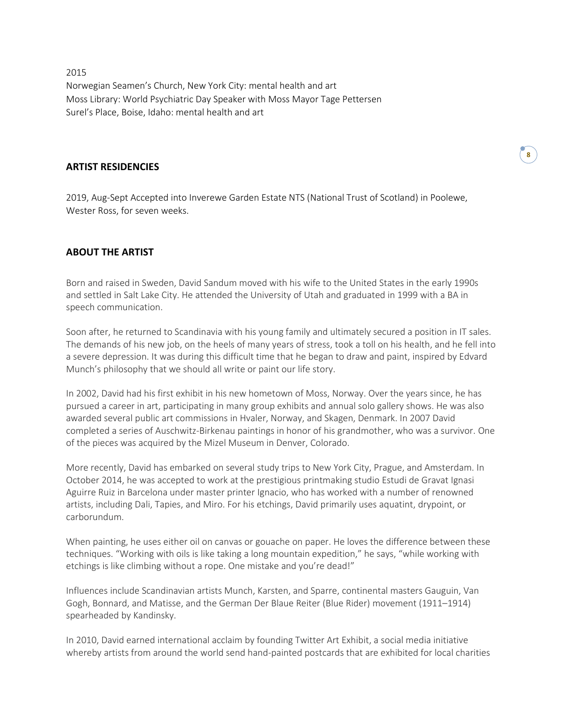2015 Norwegian Seamen's Church, New York City: mental health and art Moss Library: World Psychiatric Day Speaker with Moss Mayor Tage Pettersen Surel's Place, Boise, Idaho: mental health and art

#### **ARTIST RESIDENCIES**

2019, Aug-Sept Accepted into Inverewe Garden Estate NTS (National Trust of Scotland) in Poolewe, Wester Ross, for seven weeks.

# **ABOUT THE ARTIST**

Born and raised in Sweden, David Sandum moved with his wife to the United States in the early 1990s and settled in Salt Lake City. He attended the University of Utah and graduated in 1999 with a BA in speech communication.

Soon after, he returned to Scandinavia with his young family and ultimately secured a position in IT sales. The demands of his new job, on the heels of many years of stress, took a toll on his health, and he fell into a severe depression. It was during this difficult time that he began to draw and paint, inspired by Edvard Munch's philosophy that we should all write or paint our life story.

In 2002, David had his first exhibit in his new hometown of Moss, Norway. Over the years since, he has pursued a career in art, participating in many group exhibits and annual solo gallery shows. He was also awarded several public art commissions in Hvaler, Norway, and Skagen, Denmark. In 2007 David completed a series of Auschwitz-Birkenau paintings in honor of his grandmother, who was a survivor. One of the pieces was acquired by the Mizel Museum in Denver, Colorado.

More recently, David has embarked on several study trips to New York City, Prague, and Amsterdam. In October 2014, he was accepted to work at the prestigious printmaking studio Estudi de Gravat Ignasi Aguirre Ruiz in Barcelona under master printer Ignacio, who has worked with a number of renowned artists, including Dali, Tapies, and Miro. For his etchings, David primarily uses aquatint, drypoint, or carborundum.

When painting, he uses either oil on canvas or gouache on paper. He loves the difference between these techniques. "Working with oils is like taking a long mountain expedition," he says, "while working with etchings is like climbing without a rope. One mistake and you're dead!"

Influences include Scandinavian artists Munch, Karsten, and Sparre, continental masters Gauguin, Van Gogh, Bonnard, and Matisse, and the German Der Blaue Reiter (Blue Rider) movement (1911–1914) spearheaded by Kandinsky.

In 2010, David earned international acclaim by founding Twitter Art Exhibit, a social media initiative whereby artists from around the world send hand-painted postcards that are exhibited for local charities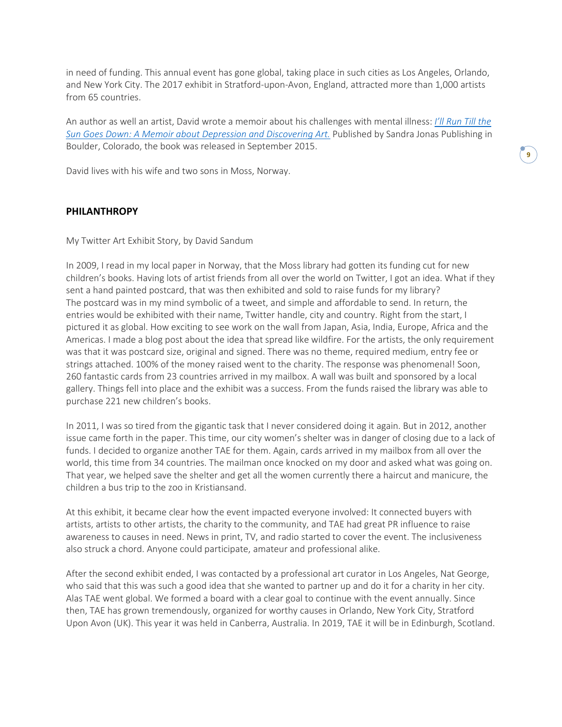in need of funding. This annual event has gone global, taking place in such cities as Los Angeles, Orlando, and New York City. The 2017 exhibit in Stratford-upon-Avon, England, attracted more than 1,000 artists from 65 countries.

An author as well an artist, David wrote a memoir about his challenges with mental illness: *I'll [Run](https://www.davidsandum.com/book) Till the Sun Goes Down: A Memoir about Depression and [Discovering](https://www.davidsandum.com/book) Art.* Published by Sandra Jonas Publishing in Boulder, Colorado, the book was released in September 2015.

David lives with his wife and two sons in Moss, Norway.

# **PHILANTHROPY**

My Twitter Art Exhibit Story, by David Sandum

In 2009, I read in my local paper in Norway, that the Moss library had gotten its funding cut for new children's books. Having lots of artist friends from all over the world on Twitter, I got an idea. What if they sent a hand painted postcard, that was then exhibited and sold to raise funds for my library? The postcard was in my mind symbolic of a tweet, and simple and affordable to send. In return, the entries would be exhibited with their name, Twitter handle, city and country. Right from the start, I pictured it as global. How exciting to see work on the wall from Japan, Asia, India, Europe, Africa and the Americas. I made a blog post about the idea that spread like wildfire. For the artists, the only requirement was that it was postcard size, original and signed. There was no theme, required medium, entry fee or strings attached. 100% of the money raised went to the charity. The response was phenomenal! Soon, 260 fantastic cards from 23 countries arrived in my mailbox. A wall was built and sponsored by a local gallery. Things fell into place and the exhibit was a success. From the funds raised the library was able to purchase 221 new children's books.

In 2011, I was so tired from the gigantic task that I never considered doing it again. But in 2012, another issue came forth in the paper. This time, our city women's shelter was in danger of closing due to a lack of funds. I decided to organize another TAE for them. Again, cards arrived in my mailbox from all over the world, this time from 34 countries. The mailman once knocked on my door and asked what was going on. That year, we helped save the shelter and get all the women currently there a haircut and manicure, the children a bus trip to the zoo in Kristiansand.

At this exhibit, it became clear how the event impacted everyone involved: It connected buyers with artists, artists to other artists, the charity to the community, and TAE had great PR influence to raise awareness to causes in need. News in print, TV, and radio started to cover the event. The inclusiveness also struck a chord. Anyone could participate, amateur and professional alike.

After the second exhibit ended, I was contacted by a professional art curator in Los Angeles, Nat George, who said that this was such a good idea that she wanted to partner up and do it for a charity in her city. Alas TAE went global. We formed a board with a clear goal to continue with the event annually. Since then, TAE has grown tremendously, organized for worthy causes in Orlando, New York City, Stratford Upon Avon (UK). This year it was held in Canberra, Australia. In 2019, TAE it will be in Edinburgh, Scotland.